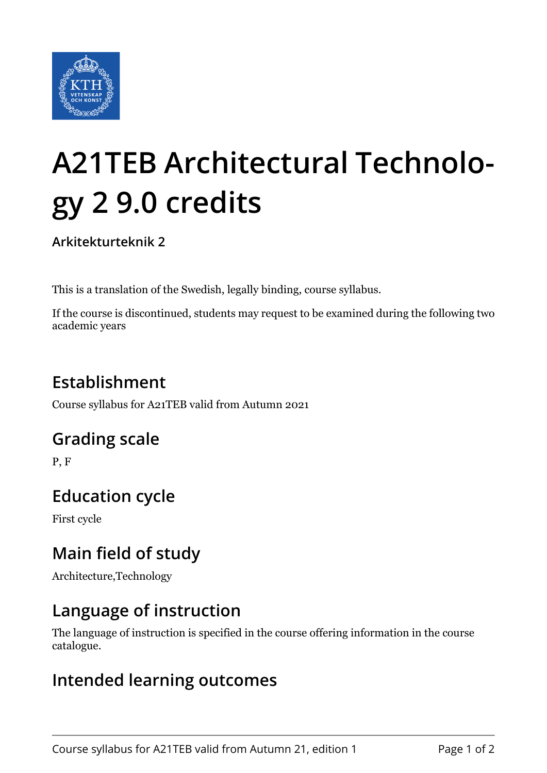

# **A21TEB Architectural Technology 2 9.0 credits**

**Arkitekturteknik 2**

This is a translation of the Swedish, legally binding, course syllabus.

If the course is discontinued, students may request to be examined during the following two academic years

# **Establishment**

Course syllabus for A21TEB valid from Autumn 2021

### **Grading scale**

P, F

# **Education cycle**

First cycle

## **Main field of study**

Architecture,Technology

## **Language of instruction**

The language of instruction is specified in the course offering information in the course catalogue.

#### **Intended learning outcomes**